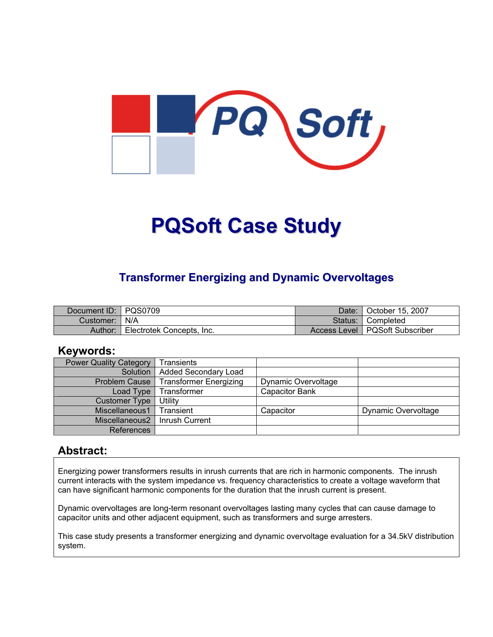

# **PQSoft Case Study**

## **Transformer Energizing and Dynamic Overvoltages**

| Document ID: PQS0709 |                           | Date: I   | October 15, 2007                 |
|----------------------|---------------------------|-----------|----------------------------------|
| Customer:   N/A      |                           | Status: I | <b>■ Completed</b>               |
| Author:              | Electrotek Concepts, Inc. |           | Access Level   PQSoft Subscriber |

#### **Keywords:**

| <b>Power Quality Category</b> | Transients                    |                       |                     |
|-------------------------------|-------------------------------|-----------------------|---------------------|
| Solution                      | <b>Added Secondary Load</b>   |                       |                     |
| <b>Problem Cause</b>          | <b>Transformer Energizing</b> | Dynamic Overvoltage   |                     |
| Load Type                     | Transformer                   | <b>Capacitor Bank</b> |                     |
| <b>Customer Type</b>          | Utility                       |                       |                     |
| Miscellaneous1                | Transient                     | Capacitor             | Dynamic Overvoltage |
| Miscellaneous2                | Inrush Current                |                       |                     |
| References                    |                               |                       |                     |

#### **Abstract:**

Energizing power transformers results in inrush currents that are rich in harmonic components. The inrush current interacts with the system impedance vs. frequency characteristics to create a voltage waveform that can have significant harmonic components for the duration that the inrush current is present.

Dynamic overvoltages are long-term resonant overvoltages lasting many cycles that can cause damage to capacitor units and other adjacent equipment, such as transformers and surge arresters.

This case study presents a transformer energizing and dynamic overvoltage evaluation for a 34.5kV distribution system.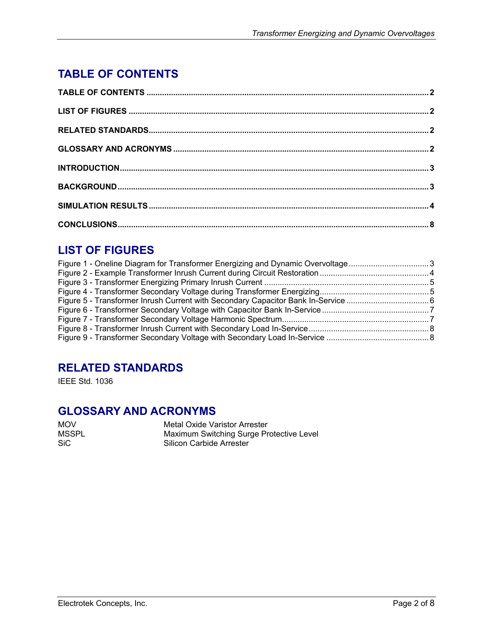## <span id="page-1-0"></span>**TABLE OF CONTENTS**

## **LIST OF FIGURES**

| Figure 1 - Oneline Diagram for Transformer Energizing and Dynamic Overvoltage3 |  |
|--------------------------------------------------------------------------------|--|
|                                                                                |  |
|                                                                                |  |
|                                                                                |  |
|                                                                                |  |
|                                                                                |  |
|                                                                                |  |
|                                                                                |  |
|                                                                                |  |
|                                                                                |  |

## **RELATED STANDARDS**

IEEE Std. 1036

#### **GLOSSARY AND ACRONYMS**

MOV Metal Oxide Varistor Arrester<br>MSSPL Maximum Switching Surge Pre MSSPL Maximum Switching Surge Protective Level<br>SiC SiC Silicon Carbide Arrester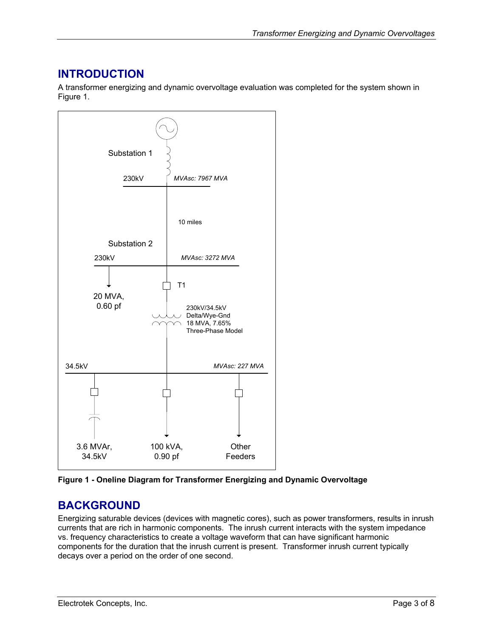### <span id="page-2-0"></span>**INTRODUCTION**

A transformer energizing and dynamic overvoltage evaluation was completed for the system shown in [Figure 1.](#page-2-1)

<span id="page-2-1"></span>

**Figure 1 - Oneline Diagram for Transformer Energizing and Dynamic Overvoltage** 

## **BACKGROUND**

Energizing saturable devices (devices with magnetic cores), such as power transformers, results in inrush currents that are rich in harmonic components. The inrush current interacts with the system impedance vs. frequency characteristics to create a voltage waveform that can have significant harmonic components for the duration that the inrush current is present. Transformer inrush current typically decays over a period on the order of one second.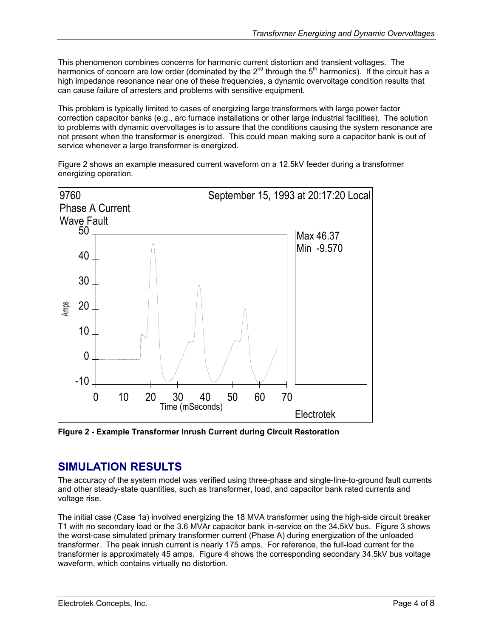<span id="page-3-0"></span>This phenomenon combines concerns for harmonic current distortion and transient voltages. The harmonics of concern are low order (dominated by the 2<sup>nd</sup> through the 5<sup>th</sup> harmonics). If the circuit has a high impedance resonance near one of these frequencies, a dynamic overvoltage condition results that can cause failure of arresters and problems with sensitive equipment.

This problem is typically limited to cases of energizing large transformers with large power factor correction capacitor banks (e.g., arc furnace installations or other large industrial facilities). The solution to problems with dynamic overvoltages is to assure that the conditions causing the system resonance are not present when the transformer is energized. This could mean making sure a capacitor bank is out of service whenever a large transformer is energized.

[Figure 2](#page-3-1) shows an example measured current waveform on a 12.5kV feeder during a transformer energizing operation.

<span id="page-3-1"></span>

**Figure 2 - Example Transformer Inrush Current during Circuit Restoration** 

#### **SIMULATION RESULTS**

The accuracy of the system model was verified using three-phase and single-line-to-ground fault currents and other steady-state quantities, such as transformer, load, and capacitor bank rated currents and voltage rise.

The initial case (Case 1a) involved energizing the 18 MVA transformer using the high-side circuit breaker T1 with no secondary load or the 3.6 MVAr capacitor bank in-service on the 34.5kV bus. [Figure 3](#page-4-1) shows the worst-case simulated primary transformer current (Phase A) during energization of the unloaded transformer. The peak inrush current is nearly 175 amps. For reference, the full-load current for the transformer is approximately 45 amps. [Figure 4 s](#page-4-2)hows the corresponding secondary 34.5kV bus voltage waveform, which contains virtually no distortion.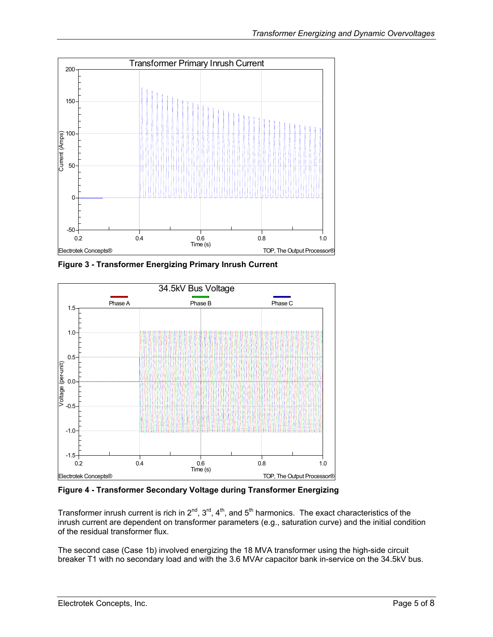<span id="page-4-1"></span><span id="page-4-0"></span>

**Figure 3 - Transformer Energizing Primary Inrush Current** 

<span id="page-4-2"></span>

**Figure 4 - Transformer Secondary Voltage during Transformer Energizing** 

Transformer inrush current is rich in  $2^{nd}$ ,  $3^{rd}$ ,  $4^{th}$ , and  $5^{th}$  harmonics. The exact characteristics of the inrush current are dependent on transformer parameters (e.g., saturation curve) and the initial condition of the residual transformer flux.

The second case (Case 1b) involved energizing the 18 MVA transformer using the high-side circuit breaker T1 with no secondary load and with the 3.6 MVAr capacitor bank in-service on the 34.5kV bus.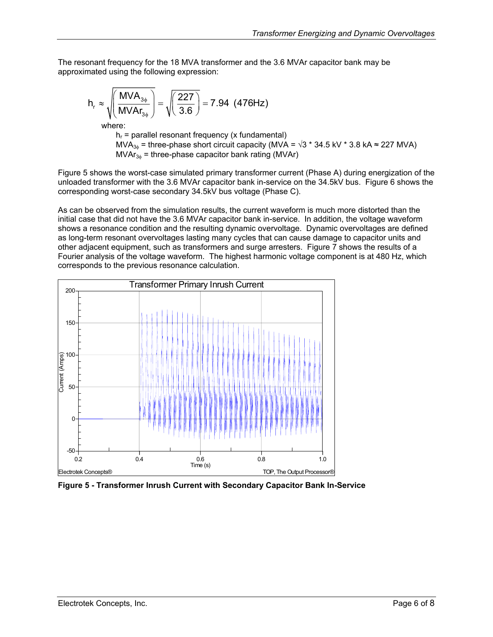<span id="page-5-0"></span>The resonant frequency for the 18 MVA transformer and the 3.6 MVAr capacitor bank may be approximated using the following expression:

$$
h_r \approx \sqrt{\left(\frac{MVA_{3\phi}}{MVAr_{3\phi}}\right)} = \sqrt{\left(\frac{227}{3.6}\right)} = 7.94 \text{ (476Hz)}
$$

where:

 $h_r$  = parallel resonant frequency (x fundamental) MVA<sub>3 $\phi$ </sub> = three-phase short circuit capacity (MVA =  $\sqrt{3}$  \* 34.5 kV \* 3.8 kA ≈ 227 MVA)  $MVar_{3\phi}$  = three-phase capacitor bank rating (MVAr)

[Figure 5](#page-5-1) shows the worst-case simulated primary transformer current (Phase A) during energization of the unloaded transformer with the 3.6 MVAr capacitor bank in-service on the 34.5kV bus. [Figure 6](#page-6-1) shows the corresponding worst-case secondary 34.5kV bus voltage (Phase C).

As can be observed from the simulation results, the current waveform is much more distorted than the initial case that did not have the 3.6 MVAr capacitor bank in-service. In addition, the voltage waveform shows a resonance condition and the resulting dynamic overvoltage. Dynamic overvoltages are defined as long-term resonant overvoltages lasting many cycles that can cause damage to capacitor units and other adjacent equipment, such as transformers and surge arresters. [Figure 7](#page-6-2) shows the results of a Fourier analysis of the voltage waveform. The highest harmonic voltage component is at 480 Hz, which corresponds to the previous resonance calculation.

<span id="page-5-1"></span>

**Figure 5 - Transformer Inrush Current with Secondary Capacitor Bank In-Service**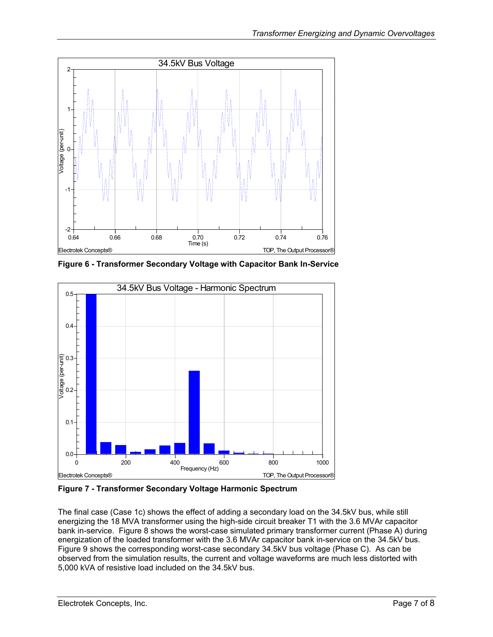<span id="page-6-1"></span><span id="page-6-0"></span>

**Figure 6 - Transformer Secondary Voltage with Capacitor Bank In-Service**

<span id="page-6-2"></span>

**Figure 7 - Transformer Secondary Voltage Harmonic Spectrum** 

The final case (Case 1c) shows the effect of adding a secondary load on the 34.5kV bus, while still energizing the 18 MVA transformer using the high-side circuit breaker T1 with the 3.6 MVAr capacitor bank in-service. [Figure 8](#page-7-1) shows the worst-case simulated primary transformer current (Phase A) during energization of the loaded transformer with the 3.6 MVAr capacitor bank in-service on the 34.5kV bus. [Figure 9](#page-7-2) shows the corresponding worst-case secondary 34.5kV bus voltage (Phase C). As can be observed from the simulation results, the current and voltage waveforms are much less distorted with 5,000 kVA of resistive load included on the 34.5kV bus.